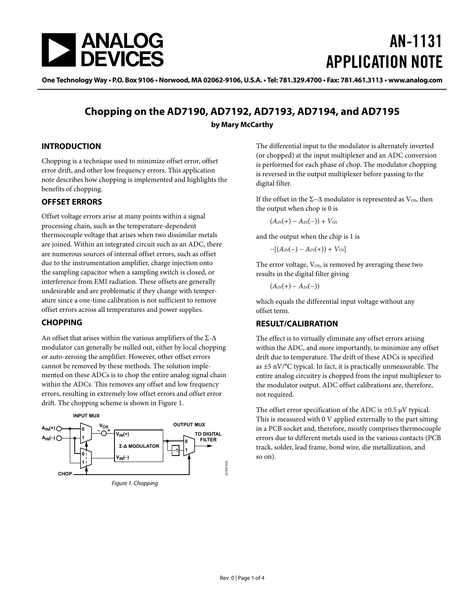<span id="page-0-1"></span>

# AN-1131 APPLICATION NOTE

One Technology Way • P.O. Box 9106 • Norwood, MA 02062-9106, U.S.A. • Tel: 781.329.4700 • Fax: 781.461.3113 • www.analog.com

### **Chopping on the AD7190, AD7192, AD7193, AD7194, and AD7195 by Mary McCarthy**

#### **INTRODUCTION**

Chopping is a technique used to minimize offset error, offset error drift, and other low frequency errors. This application note describes how chopping is implemented and highlights the benefits of chopping.

#### **OFFSET ERRORS**

Offset voltage errors arise at many points within a signal processing chain, such as the temperature-dependent thermocouple voltage that arises when two dissimilar metals are joined. Within an integrated circuit such as an ADC, there are numerous sources of internal offset errors, such as offset due to the instrumentation amplifier, charge injection onto the sampling capacitor when a sampling switch is closed, or interference from EMI radiation. These offsets are generally undesirable and are problematic if they change with temperature since a one-time calibration is not sufficient to remove offset errors across all temperatures and power supplies.

#### **CHOPPING**

An offset that arises within the various amplifiers of the  $\Sigma$ - $\Delta$ modulator can generally be nulled out, either by local chopping or auto-zeroing the amplifier. However, other offset errors cannot be removed by these methods. The solution implemented on these ADCs is to chop the entire analog signal chain within the ADCs. This removes any offset and low frequency errors, resulting in extremely low offset errors and offset error drift. The chopping scheme is shown in [Figure 1.](#page-0-0)

<span id="page-0-0"></span>

The differential input to the modulator is alternately inverted (or chopped) at the input multiplexer and an ADC conversion is performed for each phase of chop. The modulator chopping is reversed in the output multiplexer before passing to the digital filter.

If the offset in the Σ−Δ modulator is represented as  $V_{OS}$ , then the output when chop is 0 is

 $(A_{IN}(+) - A_{IN}(-)) + V_{OS}$ 

and the output when the chip is 1 is

 $-[ (A_{IN}(-) - A_{IN}(+)) + V_{OS}]$ 

The error voltage,  $V_{OS}$ , is removed by averaging these two results in the digital filter giving

 $(A_{IN}(+) - A_{IN}(-))$ 

which equals the differential input voltage without any offset term.

#### **RESULT/CALIBRATION**

The effect is to virtually eliminate any offset errors arising within the ADC, and more importantly, to minimize any offset drift due to temperature. The drift of these ADCs is specified as ±5 nV/°C typical. In fact, it is practically unmeasurable. The entire analog circuitry is chopped from the input multiplexer to the modulator output. ADC offset calibrations are, therefore, not required.

The offset error specification of the ADC is  $\pm 0.5 \mu V$  typical. This is measured with 0 V applied externally to the part sitting in a PCB socket and, therefore, mostly comprises thermocouple errors due to different metals used in the various contacts (PCB track, solder, lead frame, bond wire, die metallization, and so on).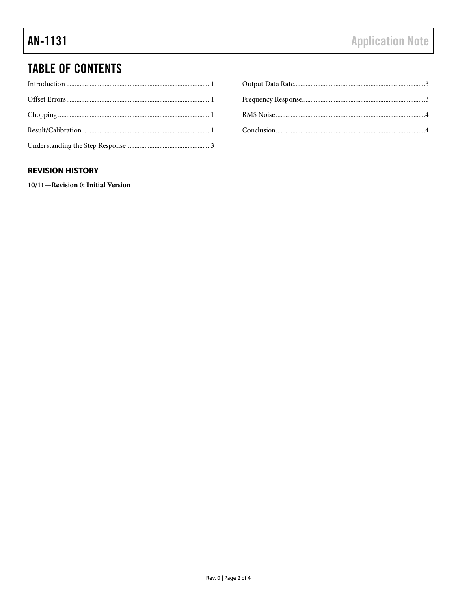## **TABLE OF CONTENTS**

#### **REVISION HISTORY**

10/11-Revision 0: Initial Version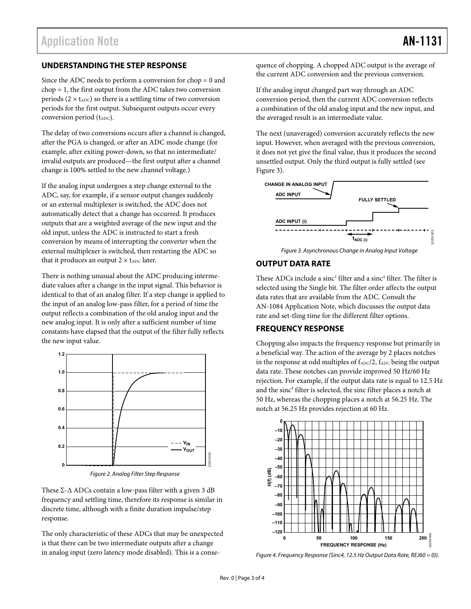#### <span id="page-2-0"></span>**UNDERSTANDING THE STEP RESPONSE**

Since the ADC needs to perform a conversion for chop = 0 and chop = 1, the first output from the ADC takes two conversion periods ( $2 \times t_{ADC}$ ) so there is a settling time of two conversion periods for the first output. Subsequent outputs occur every conversion period  $(t_{ADC})$ .

The delay of two conversions occurs after a channel is changed, after the PGA is changed, or after an ADC mode change (for example, after exiting power-down, so that no intermediate/ invalid outputs are produced—the first output after a channel change is 100% settled to the new channel voltage.)

If the analog input undergoes a step change external to the ADC, say, for example, if a sensor output changes suddenly or an external multiplexer is switched, the ADC does not automatically detect that a change has occurred. It produces outputs that are a weighted average of the new input and the old input, unless the ADC is instructed to start a fresh conversion by means of interrupting the converter when the external multiplexer is switched, then restarting the ADC so that it produces an output  $2 \times t_{ADC}$  later.

<span id="page-2-1"></span>There is nothing unusual about the ADC producing intermediate values after a change in the input signal. This behavior is identical to that of an analog filter. If a step change is applied to the input of an analog low-pass filter, for a period of time the output reflects a combination of the old analog input and the new analog input. It is only after a sufficient number of time constants have elapsed that the output of the filter fully reflects the new input value.



Figure 2. Analog Filter Step Response

These  $\Sigma$ - $\Delta$  ADCs contain a low-pass filter with a given 3 dB frequency and settling time, therefore its response is similar in discrete time, although with a finite duration impulse/step response.

The only characteristic of these ADCs that may be unexpected is that there can be two intermediate outputs after a change in analog input (zero latency mode disabled). This is a consequence of chopping. A chopped ADC output is the average of the current ADC conversion and the previous conversion.

If the analog input changed part way through an ADC conversion period, then the current ADC conversion reflects a combination of the old analog input and the new input, and the averaged result is an intermediate value.

The next (unaveraged) conversion accurately reflects the new input. However, when averaged with the previous conversion, it does not yet give the final value, thus it produces the second unsettled output. Only the third output is fully settled (see [Figure 3](#page-2-1)).



Figure 3. Asynchronous Change in Analog Input Voltage

#### **OUTPUT DATA RATE**

These ADCs include a sinc<sup>3</sup> filter and a sinc<sup>4</sup> filter. The filter is selected using the Single bit. The filter order affects the output data rates that are available from the ADC. Consult the AN-1084 Application Note, which discusses the output data rate and set-tling time for the different filter options.

#### **FREQUENCY RESPONSE**

Chopping also impacts the frequency response but primarily in a beneficial way. The action of the average by 2 places notches in the response at odd multiples of  $f_{ADC}/2$ ,  $f_{ADC}$  being the output data rate. These notches can provide improved 50 Hz/60 Hz rejection. For example, if the output data rate is equal to 12.5 Hz and the sinc<sup>4</sup> filter is selected, the sinc filter places a notch at 50 Hz, whereas the chopping places a notch at 56.25 Hz. The notch at 56.25 Hz provides rejection at 60 Hz.



Figure 4. Frequency Response (Sinc4, 12.5 Hz Output Data Rate, REJ60 = 0)).